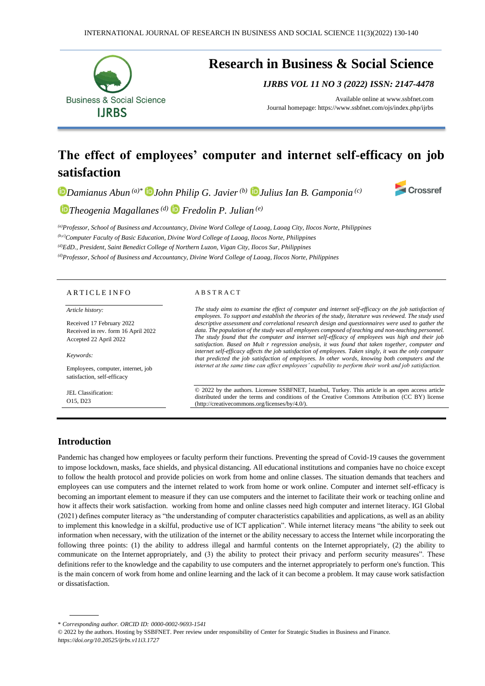

# **The effect of employees' computer and internet self-efficacy on job satisfaction**

*Damianus Abun (a)\* John Philip G. Javier(b) [J](https://orcid.org/0000-0002-5204-6292)ulius Ian B. Gamponia (c)*



*Theogenia Magallanes(d) Fredolin P. Julian (e)*

*(a)Professor, School of Business and Accountancy, Divine Word College of Laoag, Laoag City, Ilocos Norte, Philippines (b,c)Computer Faculty of Basic Education, Divine Word College of Laoag, Ilocos Norte, Philippines (d)EdD., President, Saint Benedict College of Northern Luzon, Vigan City, Ilocos Sur, Philippines (d)Professor, School of Business and Accountancy, Divine Word College of Laoag, Ilocos Norte, Philippines*

### ARTICLE INFO

#### *Article history:*

Received 17 February 2022 Received in rev. form 16 April 2022 Accepted 22 April 2022

#### *Keywords:*

Employees, computer, internet, job satisfaction, self-efficacy

JEL Classification: O15, D23

### A B S T R A C T

*The study aims to examine the effect of computer and internet self-efficacy on the job satisfaction of employees. To support and establish the theories of the study, literature was reviewed. The study used descriptive assessment and correlational research design and questionnaires were used to gather the data. The population of the study was all employees composed of teaching and non-teaching personnel. The study found that the computer and internet self-efficacy of employees was high and their job satisfaction. Based on Mult r regression analysis, it was found that taken together, computer and internet self-efficacy affects the job satisfaction of employees. Taken singly, it was the only computer that predicted the job satisfaction of employees. In other words, knowing both computers and the internet at the same time can affect employees' capability to perform their work and job satisfaction.*

© 2022 by the authors. Licensee SSBFNET, Istanbul, Turkey. This article is an open access article distributed under the terms and conditions of the Creative Commons Attribution (CC BY) license (http://creativecommons.org/licenses/by/4.0/).

## **Introduction**

Pandemic has changed how employees or faculty perform their functions. Preventing the spread of Covid-19 causes the government to impose lockdown, masks, face shields, and physical distancing. All educational institutions and companies have no choice except to follow the health protocol and provide policies on work from home and online classes. The situation demands that teachers and employees can use computers and the internet related to work from home or work online. Computer and internet self-efficacy is becoming an important element to measure if they can use computers and the internet to facilitate their work or teaching online and how it affects their work satisfaction. working from home and online classes need high computer and internet literacy. IGI Global (2021) defines computer literacy as "the understanding of computer characteristics capabilities and applications, as well as an ability to implement this knowledge in a skilful, productive use of ICT application". While internet literacy means "the ability to seek out information when necessary, with the utilization of the internet or the ability necessary to access the Internet while incorporating the following three points: (1) the ability to address illegal and harmful contents on the Internet appropriately, (2) the ability to communicate on the Internet appropriately, and (3) the ability to protect their privacy and perform security measures". These definitions refer to the knowledge and the capability to use computers and the internet appropriately to perform one's function. This is the main concern of work from home and online learning and the lack of it can become a problem. It may cause work satisfaction or dissatisfaction.

<sup>\*</sup> *Corresponding author. ORCID ID: 0000-0002-9693-1541*

<sup>© 2022</sup> by the authors. Hosting by SSBFNET. Peer review under responsibility of Center for Strategic Studies in Business and Finance. *<https://doi.org/10.20525/ijrbs.v11i3.1727>*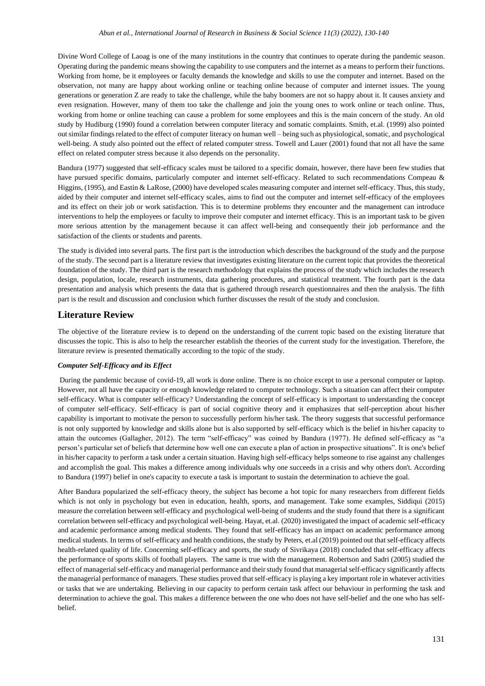Divine Word College of Laoag is one of the many institutions in the country that continues to operate during the pandemic season. Operating during the pandemic means showing the capability to use computers and the internet as a means to perform their functions. Working from home, be it employees or faculty demands the knowledge and skills to use the computer and internet. Based on the observation, not many are happy about working online or teaching online because of computer and internet issues. The young generations or generation Z are ready to take the challenge, while the baby boomers are not so happy about it. It causes anxiety and even resignation. However, many of them too take the challenge and join the young ones to work online or teach online. Thus, working from home or online teaching can cause a problem for some employees and this is the main concern of the study. An old study by Hudiburg (1990) found a correlation between computer literacy and somatic complaints. Smith, et.al. (1999) also pointed out similar findings related to the effect of computer literacy on human well – being such as physiological, somatic, and psychological well-being. A study also pointed out the effect of related computer stress. Towell and Lauer (2001) found that not all have the same effect on related computer stress because it also depends on the personality.

Bandura (1977) suggested that self-efficacy scales must be tailored to a specific domain, however, there have been few studies that have pursued specific domains, particularly computer and internet self-efficacy. Related to such recommendations Compeau & Higgins, (1995), and Eastin & LaRose, (2000) have developed scales measuring computer and internet self-efficacy. Thus, this study, aided by their computer and internet self-efficacy scales, aims to find out the computer and internet self-efficacy of the employees and its effect on their job or work satisfaction. This is to determine problems they encounter and the management can introduce interventions to help the employees or faculty to improve their computer and internet efficacy. This is an important task to be given more serious attention by the management because it can affect well-being and consequently their job performance and the satisfaction of the clients or students and parents.

The study is divided into several parts. The first part is the introduction which describes the background of the study and the purpose of the study. The second part is a literature review that investigates existing literature on the current topic that provides the theoretical foundation of the study. The third part is the research methodology that explains the process of the study which includes the research design, population, locale, research instruments, data gathering procedures, and statistical treatment. The fourth part is the data presentation and analysis which presents the data that is gathered through research questionnaires and then the analysis. The fifth part is the result and discussion and conclusion which further discusses the result of the study and conclusion.

### **Literature Review**

The objective of the literature review is to depend on the understanding of the current topic based on the existing literature that discusses the topic. This is also to help the researcher establish the theories of the current study for the investigation. Therefore, the literature review is presented thematically according to the topic of the study.

### *Computer Self-Efficacy and its Effect*

During the pandemic because of covid-19, all work is done online. There is no choice except to use a personal computer or laptop. However, not all have the capacity or enough knowledge related to computer technology. Such a situation can affect their computer self-efficacy. What is computer self-efficacy? Understanding the concept of self-efficacy is important to understanding the concept of computer self-efficacy. Self-efficacy is part of social cognitive theory and it emphasizes that self-perception about his/her capability is important to motivate the person to successfully perform his/her task. The theory suggests that successful performance is not only supported by knowledge and skills alone but is also supported by self-efficacy which is the belief in his/her capacity to attain the outcomes (Gallagher, 2012). The term "self-efficacy" was coined by Bandura (1977). He defined self-efficacy as "a person's particular set of beliefs that determine how well one can execute a plan of action in prospective situations". It is one's belief in his/her capacity to perform a task under a certain situation. Having high self-efficacy helps someone to rise against any challenges and accomplish the goal. This makes a difference among individuals why one succeeds in a crisis and why others don't. According to Bandura (1997) belief in one's capacity to execute a task is important to sustain the determination to achieve the goal.

After Bandura popularized the self-efficacy theory, the subject has become a hot topic for many researchers from different fields which is not only in psychology but even in education, health, sports, and management. Take some examples, Siddiqui (2015) measure the correlation between self-efficacy and psychological well-being of students and the study found that there is a significant correlation between self-efficacy and psychological well-being. Hayat, et.al. (2020) investigated the impact of academic self-efficacy and academic performance among medical students. They found that self-efficacy has an impact on academic performance among medical students. In terms of self-efficacy and health conditions, the study by Peters, et.al (2019) pointed out that self-efficacy affects health-related quality of life. Concerning self-efficacy and sports, the study of Sivrikaya (2018) concluded that self-efficacy affects the performance of sports skills of football players. The same is true with the management. Robertson and Sadri (2005) studied the effect of managerial self-efficacy and managerial performance and their study found that managerial self-efficacy significantly affects the managerial performance of managers. These studies proved that self-efficacy is playing a key important role in whatever activities or tasks that we are undertaking. Believing in our capacity to perform certain task affect our behaviour in performing the task and determination to achieve the goal. This makes a difference between the one who does not have self-belief and the one who has selfbelief.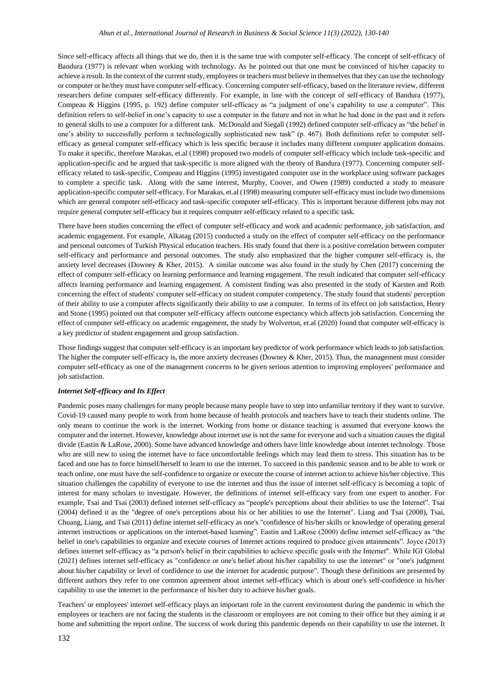### *Abun et al., International Journal of Research in Business & Social Science 11(3) (2022), 130-140*

Since self-efficacy affects all things that we do, then it is the same true with computer self-efficacy. The concept of self-efficacy of Bandura (1977) is relevant when working with technology. As he pointed out that one must be convinced of his/her capacity to achieve a result. In the context of the current study, employees or teachers must believe in themselves that they can use the technology or computer or he/they must have computer self-efficacy. Concerning computer self-efficacy, based on the literature review, different researchers define computer self-efficacy differently. For example, in line with the concept of self-efficacy of Bandura (1977), Compeau & Higgins (1995, p. 192) define computer self-efficacy as "a judgment of one's capability to use a computer". This definition refers to self-belief in one's capacity to use a computer in the future and not in what he had done in the past and it refers to general skills to use a computer for a different task. McDonald and Siegall (1992) defined computer self-efficacy as "the belief in one's ability to successfully perform a technologically sophisticated new task" (p. 467). Both definitions refer to computer selfefficacy as general computer self-efficacy which is less specific because it includes many different computer application domains. To make it specific, therefore Marakas, et.al (1998) proposed two models of computer self-efficacy which include task-specific and application-specific and he argued that task-specific is more aligned with the theory of Bandura (1977). Concerning computer selfefficacy related to task-specific, Compeau and Higgins (1995) investigated computer use in the workplace using software packages to complete a specific task. Along with the same interest, Murphy, Coover, and Owen (1989) conducted a study to measure application-specific computer self-efficacy. For Marakas, et.al (1998) measuring computer self-efficacy must include two dimensions which are general computer self-efficacy and task-specific computer self-efficacy. This is important because different jobs may not require general computer self-efficacy but it requires computer self-efficacy related to a specific task.

There have been studies concerning the effect of computer self-efficacy and work and academic performance, job satisfaction, and academic engagement. For example, Alkatag (2015) conducted a study on the effect of computer self-efficacy on the performance and personal outcomes of Turkish Physical education teachers. His study found that there is a positive correlation between computer self-efficacy and performance and personal outcomes. The study also emphasized that the higher computer self-efficacy is, the anxiety level decreases (Downey & Kher, 2015). A similar outcome was also found in the study by Chen (2017) concerning the effect of computer self-efficacy on learning performance and learning engagement. The result indicated that computer self-efficacy affects learning performance and learning engagement. A consistent finding was also presented in the study of Karsten and Roth concerning the effect of students' computer self-efficacy on student computer competency. The study found that students' perception of their ability to use a computer affects significantly their ability to use a computer. In terms of its effect on job satisfaction, Henry and Stone (1995) pointed out that computer self-efficacy affects outcome expectancy which affects job satisfaction. Concerning the effect of computer self-efficacy on academic engagement, the study by Wolverton, et.al (2020) found that computer self-efficacy is a key predictor of student engagement and group satisfaction.

Those findings suggest that computer self-efficacy is an important key predictor of work performance which leads to job satisfaction. The higher the computer self-efficacy is, the more anxiety decreases (Downey & Kher, 2015). Thus, the management must consider computer self-efficacy as one of the management concerns to be given serious attention to improving employees' performance and job satisfaction.

### *Internet Self-efficacy and Its Effect*

Pandemic poses many challenges for many people because many people have to step into unfamiliar territory if they want to survive. Covid-19 caused many people to work from home because of health protocols and teachers have to teach their students online. The only means to continue the work is the internet. Working from home or distance teaching is assumed that everyone knows the computer and the internet. However, knowledge about internet use is not the same for everyone and such a situation causes the digital divide (Eastin & LaRose, 2000). Some have advanced knowledge and others have little knowledge about internet technology. Those who are still new to using the internet have to face uncomfortable feelings which may lead them to stress. This situation has to be faced and one has to force himself/herself to learn to use the internet. To succeed in this pandemic season and to be able to work or teach online, one must have the self-confidence to organize or execute the course of internet action to achieve his/her objective. This situation challenges the capability of everyone to use the internet and thus the issue of internet self-efficacy is becoming a topic of interest for many scholars to investigate. However, the definitions of internet self-efficacy vary from one expert to another. For example, Tsai and Tsai (2003) defined internet self-efficacy as "people's perceptions about their abilities to use the Internet". Tsai (2004) defined it as the "degree of one's perceptions about his or her abilities to use the Internet". Liang and Tsai (2008), Tsai, Chuang, Liang, and Tsai (2011) define internet self-efficacy as one's "confidence of his/her skills or knowledge of operating general internet instructions or applications on the internet-based learning". Eastin and LaRose (2000) define internet self-efficacy as "the belief in one's capabilities to organize and execute courses of Internet actions required to produce given attainments". Joyce (2013) defines internet self-efficacy as "a person's belief in their capabilities to achieve specific goals with the Internet". While IGI Global (2021) defines internet self-efficacy as "confidence or one's belief about his/her capability to use the internet" or "one's judgment about his/her capability or level of confidence to use the internet for academic purpose". Though these definitions are presented by different authors they refer to one common agreement about internet self-efficacy which is about one's self-confidence in his/her capability to use the internet in the performance of his/her duty to achieve his/her goals.

Teachers' or employees' internet self-efficacy plays an important role in the current environment during the pandemic in which the employees or teachers are not facing the students in the classroom or employees are not coming to their office but they aiming it at home and submitting the report online. The success of work during this pandemic depends on their capability to use the internet. It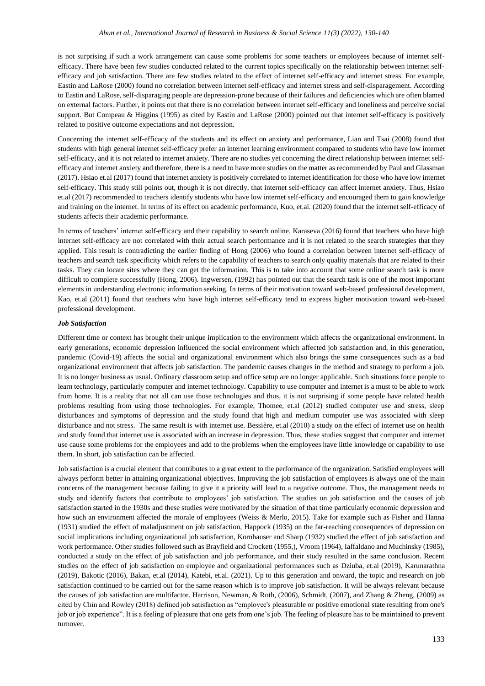is not surprising if such a work arrangement can cause some problems for some teachers or employees because of internet selfefficacy. There have been few studies conducted related to the current topics specifically on the relationship between internet selfefficacy and job satisfaction. There are few studies related to the effect of internet self-efficacy and internet stress. For example, Eastin and LaRose (2000) found no correlation between internet self-efficacy and internet stress and self-disparagement. According to Eastin and LaRose, self-disparaging people are depression-prone because of their failures and deficiencies which are often blamed on external factors. Further, it points out that there is no correlation between internet self-efficacy and loneliness and perceive social support. Bu[t Compeau & Higgins \(1995\)](javascript:;) as cited by Eastin and LaRose (2000) pointed out that internet self-efficacy is positively related to positive outcome expectations and not depression.

Concerning the internet self-efficacy of the students and its effect on anxiety and performance, Lian and Tsai (2008) found that students with high general internet self-efficacy prefer an internet learning environment compared to students who have low internet self-efficacy, and it is not related to internet anxiety. There are no studies yet concerning the direct relationship between internet selfefficacy and internet anxiety and therefore, there is a need to have more studies on the matter as recommended by Paul and Glassman (2017). Hsiao et.al (2017) found that internet anxiety is positively correlated to internet identification for those who have low internet self-efficacy. This study still points out, though it is not directly, that internet self-efficacy can affect internet anxiety. Thus, Hsiao et.al (2017) recommended to teachers identify students who have low internet self-efficacy and encouraged them to gain knowledge and training on the internet. In terms of its effect on academic performance, Kuo, et.al. (2020) found that the internet self-efficacy of students affects their academic performance.

In terms of teachers' internet self-efficacy and their capability to search online, Karaseva (2016) found that teachers who have high internet self-efficacy are not correlated with their actual search performance and it is not related to the search strategies that they applied. This result is contradicting the earlier finding of Hong (2006) who found a correlation between internet self-efficacy of teachers and search task specificity which refers to the capability of teachers to search only quality materials that are related to their tasks. They can locate sites where they can get the information. This is to take into account that some online search task is more difficult to complete successfully (Hong, 2006). Ingwersen, (1992) has pointed out that the search task is one of the most important elements in understanding electronic information seeking. In terms of their motivation toward web-based professional development, Kao, et.al (2011) found that teachers who have high internet self-efficacy tend to express higher motivation toward web-based professional development.

#### *Job Satisfaction*

Different time or context has brought their unique implication to the environment which affects the organizational environment. In early generations, economic depression influenced the social environment which affected job satisfaction and, in this generation, pandemic (Covid-19) affects the social and organizational environment which also brings the same consequences such as a bad organizational environment that affects job satisfaction. The pandemic causes changes in the method and strategy to perform a job. It is no longer business as usual. Ordinary classroom setup and office setup are no longer applicable. Such situations force people to learn technology, particularly computer and internet technology. Capability to use computer and internet is a must to be able to work from home. It is a reality that not all can use those technologies and thus, it is not surprising if some people have related health problems resulting from using those technologies. For example, Thomee, et.al (2012) studied computer use and stress, sleep disturbances and symptoms of depression and the study found that high and medium computer use was associated with sleep disturbance and not stress. The same result is with internet use[. Bessière,](https://www.ncbi.nlm.nih.gov/pubmed/?term=Bessi%26%23x000e8%3Bre%20K%5BAuthor%5D&cauthor=true&cauthor_uid=20228047) et.al (2010) a study on the effect of internet use on health and study found that internet use is associated with an increase in depression. Thus, these studies suggest that computer and internet use cause some problems for the employees and add to the problems when the employees have little knowledge or capability to use them. In short, job satisfaction can be affected.

Job satisfaction is a crucial element that contributes to a great extent to the performance of the organization. Satisfied employees will always perform better in attaining organizational objectives. Improving the job satisfaction of employees is always one of the main concerns of the management because failing to give it a priority will lead to a negative outcome. Thus, the management needs to study and identify factors that contribute to employees' job satisfaction. The studies on job satisfaction and the causes of job satisfaction started in the 1930s and these studies were motivated by the situation of that time particularly economic depression and how such an environment affected the morale of employees (Weiss & Merlo, 2015). Take for example such as Fisher and Hanna (1931) studied the effect of maladjustment on job satisfaction, Happock (1935) on the far-reaching consequences of depression on social implications including organizational job satisfaction, Kornhauser and Sharp (1932) studied the effect of job satisfaction and work performance. Other studies followed such as Brayfield and Crockett (1955,), Vroom (1964), Iaffaldano and Muchinsky (1985), conducted a study on the effect of job satisfaction and job performance, and their study resulted in the same conclusion. Recent studies on the effect of job satisfaction on employee and organizational performances such as [Dziuba,](https://www.researchgate.net/profile/Szymon-Dziuba-2?_sg%5B0%5D=MA3tfRgMKnL2BjiSjCJS6zUytQQrNrOpIawu79D1ztcPyFa2sptRliH1r-Wpf89Eg0Jr0S4.NyKxEnsQiZ3usz4PLxySLVDv9rKDmM3Tyn2dCR9FITw1RZK9WnnLakbRK5awPs3TqezaDLzo9fIED2HtR1JVZw.0EGyJfrSweIsoTXv9BcKJaek-cySpvhoadi-tvrAk_lA_3W3WIGdn3SCLco_B2nHuFQMQfXIiGFgJevN5N2zHg&_sg%5B1%5D=x8BQwpA8rCdCFZP2WAtwnbfnFoXefYSfjcKQDoKGpT3rYk9qD5Y0XSwLMwQiwAZbL7H5U4Y.jX3tWMYO08LXIRQKljxfbIkKAKeFOIpkCLx5Fa40tiLuP-fqY-C1Ajxnxf4XdEtBUd3Evf114yIMZoh_to9dVg) et.al (2019), Karunarathna (2019), Bakotic (2016)[, Bakan,](https://www.researchgate.net/scientific-contributions/Ismail-Bakan-2007369008?_sg%5B0%5D=cf6imL4l6JL3qZI8I4brTn1r0EzVGfZq_LGP4isLkkzO8Lfg4TiXg-C2bzsAhZ3yUcUBvlc.l8bwXWZRH3KmjDnZ4WV3HDlK-woILjeAQzRjRLaPxo2Y82dtI9ikNv5IbOAoXBsBtCsH-ukdf-BUroznf4QDtg.q0bGsXMbDchNNL0jmUfMo0_2irQQUxtcFs5NDpFuudKRJsFvHxNl56u1nRab1-WsejGtOxe9aEFjSnwItgK0zQ&_sg%5B1%5D=lCC8wFdy1MEYdYImVzfY9tKwlzJ7TZt5dGv6t1Cu3r-p86DVAJtzhU5-NTp4sAPpdKblgS4.auC5B0VEv_rXiiuliHcOf0gs5yfMmJmeuoVWNeP9OR2s3xV1HhmzacuGc-Z-mC2hOa82GoTHc2w0PCDMCGg3TA) et.al (2014), Katebi, et.al. (2021). Up to this generation and onward, the topic and research on job satisfaction continued to be carried out for the same reason which is to improve job satisfaction. It will be always relevant because the causes of job satisfaction are multifactor. Harrison, Newman, & Roth, (2006), Schmidt, (2007), and Zhang & Zheng, (2009) as cited by Chin and Rowley (2018) defined job satisfaction as "employee's pleasurable or positive emotional state resulting from one's job or job experience". It is a feeling of pleasure that one gets from one's job. The feeling of pleasure has to be maintained to prevent turnover.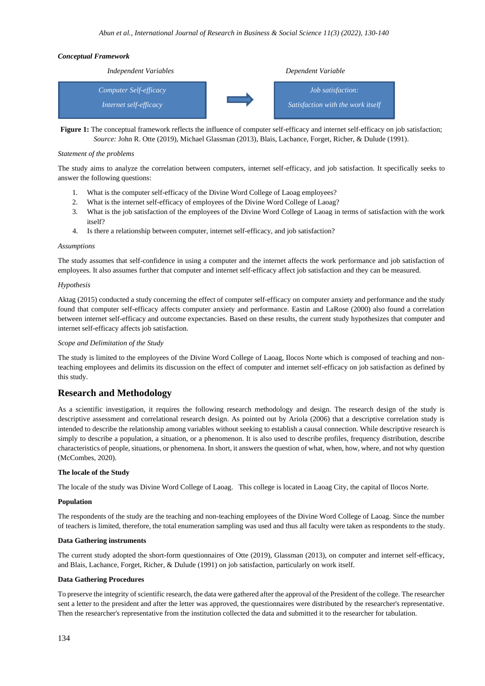### *Conceptual Framework*



Figure 1: The conceptual framework reflects the influence of computer self-efficacy and internet self-efficacy on job satisfaction; *Source:* John R. Otte (2019), Michael Glassman (2013), Blais, Lachance, Forget, Richer, & Dulude (1991).

### *Statement of the problems*

The study aims to analyze the correlation between computers, internet self-efficacy, and job satisfaction. It specifically seeks to answer the following questions:

- 1. What is the computer self-efficacy of the Divine Word College of Laoag employees?
- 2. What is the internet self-efficacy of employees of the Divine Word College of Laoag?
- 3. What is the job satisfaction of the employees of the Divine Word College of Laoag in terms of satisfaction with the work itself?
- 4. Is there a relationship between computer, internet self-efficacy, and job satisfaction?

### *Assumptions*

The study assumes that self-confidence in using a computer and the internet affects the work performance and job satisfaction of employees. It also assumes further that computer and internet self-efficacy affect job satisfaction and they can be measured.

### *Hypothesis*

Aktag (2015) conducted a study concerning the effect of computer self-efficacy on computer anxiety and performance and the study found that computer self-efficacy affects computer anxiety and performance. Eastin and LaRose (2000) also found a correlation between internet self-efficacy and outcome expectancies. Based on these results, the current study hypothesizes that computer and internet self-efficacy affects job satisfaction.

### *Scope and Delimitation of the Study*

The study is limited to the employees of the Divine Word College of Laoag, Ilocos Norte which is composed of teaching and nonteaching employees and delimits its discussion on the effect of computer and internet self-efficacy on job satisfaction as defined by this study.

# **Research and Methodology**

As a scientific investigation, it requires the following research methodology and design. The research design of the study is descriptive assessment and correlational research design. As pointed out by Ariola (2006) that a descriptive correlation study is intended to describe the relationship among variables without seeking to establish a causal connection. While descriptive research is simply to describe a population, a situation, or a phenomenon. It is also used to describe profiles, frequency distribution, describe characteristics of people, situations, or phenomena. In short, it answers the question of what, when, how, where, and not why question (McCombes, 2020).

### **The locale of the Study**

The locale of the study was Divine Word College of Laoag. This college is located in Laoag City, the capital of Ilocos Norte.

### **Population**

The respondents of the study are the teaching and non-teaching employees of the Divine Word College of Laoag. Since the number of teachers is limited, therefore, the total enumeration sampling was used and thus all faculty were taken as respondents to the study.

### **Data Gathering instruments**

The current study adopted the short-form questionnaires of Otte (2019), Glassman (2013), on computer and internet self-efficacy, and Blais, Lachance, Forget, Richer, & Dulude (1991) on job satisfaction, particularly on work itself.

### **Data Gathering Procedures**

To preserve the integrity of scientific research, the data were gathered after the approval of the President of the college. The researcher sent a letter to the president and after the letter was approved, the questionnaires were distributed by the researcher's representative. Then the researcher's representative from the institution collected the data and submitted it to the researcher for tabulation.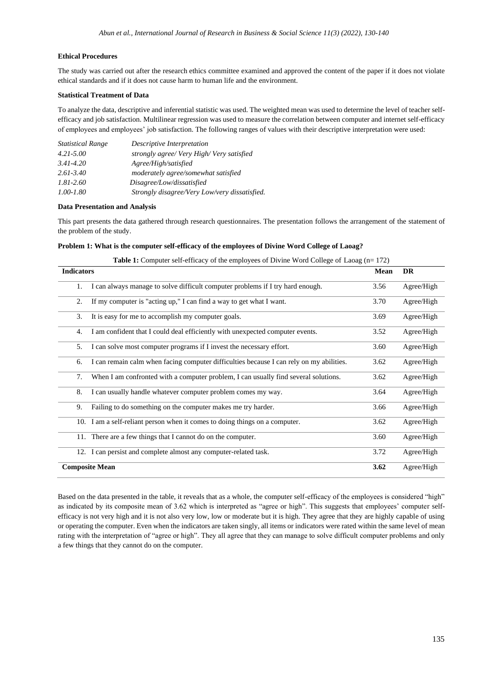### **Ethical Procedures**

The study was carried out after the research ethics committee examined and approved the content of the paper if it does not violate ethical standards and if it does not cause harm to human life and the environment.

### **Statistical Treatment of Data**

To analyze the data, descriptive and inferential statistic was used. The weighted mean was used to determine the level of teacher selfefficacy and job satisfaction. Multilinear regression was used to measure the correlation between computer and internet self-efficacy of employees and employees' job satisfaction. The following ranges of values with their descriptive interpretation were used:

| <b>Statistical Range</b> | Descriptive Interpretation                    |
|--------------------------|-----------------------------------------------|
| $4.21 - 5.00$            | strongly agree/Very High/Very satisfied       |
| $3.41 - 4.20$            | Agree/High/satisfied                          |
| $2.61 - 3.40$            | moderately agree/somewhat satisfied           |
| $1.81 - 2.60$            | Disagree/Low/dissatisfied                     |
| $1.00 - 1.80$            | Strongly disagree/Very Low/very dissatisfied. |

### **Data Presentation and Analysis**

This part presents the data gathered through research questionnaires. The presentation follows the arrangement of the statement of the problem of the study.

| Problem 1: What is the computer self-efficacy of the employees of Divine Word College of Laoag? |
|-------------------------------------------------------------------------------------------------|
|-------------------------------------------------------------------------------------------------|

| <b>Indicators</b>                                                                             | Mean | <b>DR</b>  |
|-----------------------------------------------------------------------------------------------|------|------------|
| I can always manage to solve difficult computer problems if I try hard enough.<br>1.          | 3.56 | Agree/High |
| 2.<br>If my computer is "acting up," I can find a way to get what I want.                     | 3.70 | Agree/High |
| It is easy for me to accomplish my computer goals.<br>3.                                      | 3.69 | Agree/High |
| I am confident that I could deal efficiently with unexpected computer events.<br>4.           | 3.52 | Agree/High |
| I can solve most computer programs if I invest the necessary effort.<br>5.                    | 3.60 | Agree/High |
| I can remain calm when facing computer difficulties because I can rely on my abilities.<br>6. | 3.62 | Agree/High |
| When I am confronted with a computer problem, I can usually find several solutions.<br>7.     | 3.62 | Agree/High |
| 8.<br>I can usually handle whatever computer problem comes my way.                            | 3.64 | Agree/High |
| 9.<br>Failing to do something on the computer makes me try harder.                            | 3.66 | Agree/High |
| 10. I am a self-reliant person when it comes to doing things on a computer.                   | 3.62 | Agree/High |
| 11. There are a few things that I cannot do on the computer.                                  | 3.60 | Agree/High |
| I can persist and complete almost any computer-related task.<br>12.                           | 3.72 | Agree/High |
| <b>Composite Mean</b>                                                                         | 3.62 | Agree/High |

|  |  |  |  | <b>Table 1:</b> Computer self-efficacy of the employees of Divine Word College of Laoag (n=172) |  |  |
|--|--|--|--|-------------------------------------------------------------------------------------------------|--|--|
|  |  |  |  |                                                                                                 |  |  |

Based on the data presented in the table, it reveals that as a whole, the computer self-efficacy of the employees is considered "high" as indicated by its composite mean of 3.62 which is interpreted as "agree or high". This suggests that employees' computer selfefficacy is not very high and it is not also very low, low or moderate but it is high. They agree that they are highly capable of using or operating the computer. Even when the indicators are taken singly, all items or indicators were rated within the same level of mean rating with the interpretation of "agree or high". They all agree that they can manage to solve difficult computer problems and only a few things that they cannot do on the computer.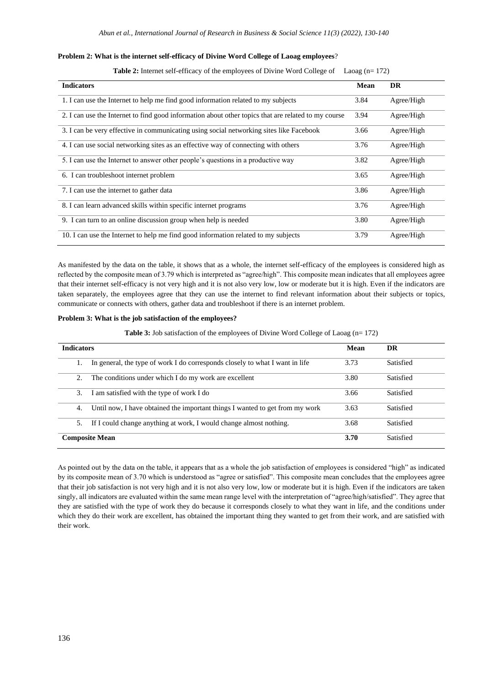### **Problem 2: What is the internet self-efficacy of Divine Word College of Laoag employees**?

|  | <b>Table 2:</b> Internet self-efficacy of the employees of Divine Word College of Laoag (n= 172) |  |  |  |  |
|--|--------------------------------------------------------------------------------------------------|--|--|--|--|
|--|--------------------------------------------------------------------------------------------------|--|--|--|--|

| <b>Indicators</b>                                                                                   | Mean | <b>DR</b>  |
|-----------------------------------------------------------------------------------------------------|------|------------|
| 1. I can use the Internet to help me find good information related to my subjects                   | 3.84 | Agree/High |
| 2. I can use the Internet to find good information about other topics that are related to my course | 3.94 | Agree/High |
| 3. I can be very effective in communicating using social networking sites like Facebook             | 3.66 | Agree/High |
| 4. I can use social networking sites as an effective way of connecting with others                  | 3.76 | Agree/High |
| 5. I can use the Internet to answer other people's questions in a productive way                    | 3.82 | Agree/High |
| 6. I can trouble shoot internet problem                                                             | 3.65 | Agree/High |
| 7. I can use the internet to gather data                                                            | 3.86 | Agree/High |
| 8. I can learn advanced skills within specific internet programs                                    | 3.76 | Agree/High |
| 9. I can turn to an online discussion group when help is needed                                     | 3.80 | Agree/High |
| 10. I can use the Internet to help me find good information related to my subjects                  | 3.79 | Agree/High |

As manifested by the data on the table, it shows that as a whole, the internet self-efficacy of the employees is considered high as reflected by the composite mean of 3.79 which is interpreted as "agree/high". This composite mean indicates that all employees agree that their internet self-efficacy is not very high and it is not also very low, low or moderate but it is high. Even if the indicators are taken separately, the employees agree that they can use the internet to find relevant information about their subjects or topics, communicate or connects with others, gather data and troubleshoot if there is an internet problem.

### **Problem 3: What is the job satisfaction of the employees?**

Table 3: Job satisfaction of the employees of Divine Word College of Laoag (n= 172)

| <b>Indicators</b>                                                                  | Mean | DR        |
|------------------------------------------------------------------------------------|------|-----------|
| In general, the type of work I do corresponds closely to what I want in life       | 3.73 | Satisfied |
| The conditions under which I do my work are excellent<br>2.                        | 3.80 | Satisfied |
| I am satisfied with the type of work I do<br>3.                                    | 3.66 | Satisfied |
| Until now, I have obtained the important things I wanted to get from my work<br>4. | 3.63 | Satisfied |
| If I could change anything at work, I would change almost nothing.<br>5.           | 3.68 | Satisfied |
| <b>Composite Mean</b>                                                              | 3.70 | Satisfied |

As pointed out by the data on the table, it appears that as a whole the job satisfaction of employees is considered "high" as indicated by its composite mean of 3.70 which is understood as "agree or satisfied". This composite mean concludes that the employees agree that their job satisfaction is not very high and it is not also very low, low or moderate but it is high. Even if the indicators are taken singly, all indicators are evaluated within the same mean range level with the interpretation of "agree/high/satisfied". They agree that they are satisfied with the type of work they do because it corresponds closely to what they want in life, and the conditions under which they do their work are excellent, has obtained the important thing they wanted to get from their work, and are satisfied with their work.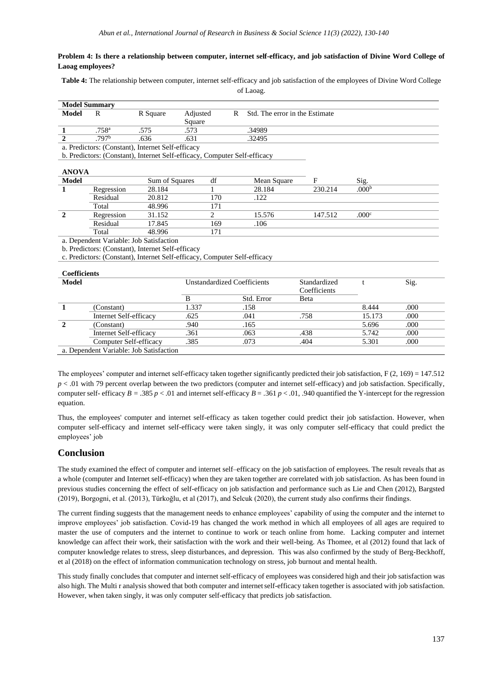### **Problem 4: Is there a relationship between computer, internet self-efficacy, and job satisfaction of Divine Word College of Laoag employees?**

**Table 4:** The relationship between computer, internet self-efficacy and job satisfaction of the employees of Divine Word College

of Laoag.

|              | <b>Model Summary</b> |                                                                           |                |                                |         |                   |  |
|--------------|----------------------|---------------------------------------------------------------------------|----------------|--------------------------------|---------|-------------------|--|
| <b>Model</b> | R                    | Adjusted<br>R Square                                                      | R              | Std. The error in the Estimate |         |                   |  |
|              |                      | Square                                                                    |                |                                |         |                   |  |
|              | .758 <sup>a</sup>    | .575<br>.573                                                              |                | .34989                         |         |                   |  |
|              | .797 <sup>b</sup>    | .636<br>.631                                                              |                | .32495                         |         |                   |  |
|              |                      | a. Predictors: (Constant), Internet Self-efficacy                         |                |                                |         |                   |  |
|              |                      | b. Predictors: (Constant), Internet Self-efficacy, Computer Self-efficacy |                |                                |         |                   |  |
|              |                      |                                                                           |                |                                |         |                   |  |
| <b>ANOVA</b> |                      |                                                                           |                |                                |         |                   |  |
| <b>Model</b> |                      | Sum of Squares                                                            | df             | Mean Square                    | F       | Sig.              |  |
|              | Regression           | 28.184                                                                    |                | 28.184                         | 230.214 | .000 <sup>b</sup> |  |
|              | Residual             | 20.812                                                                    | 170            | .122                           |         |                   |  |
|              | Total                | 48.996                                                                    | 171            |                                |         |                   |  |
|              | Regression           | 31.152                                                                    | $\overline{c}$ | 15.576                         | 147.512 | .000 <sup>c</sup> |  |

Total 48.996 171 a. Dependent Variable: Job Satisfaction

b. Predictors: (Constant), Internet Self-efficacy

c. Predictors: (Constant), Internet Self-efficacy, Computer Self-efficacy

Residual 17.845 169 .106

| <b>Coefficients</b>                     |                        |       |                             |              |        |      |  |  |
|-----------------------------------------|------------------------|-------|-----------------------------|--------------|--------|------|--|--|
| <b>Model</b>                            |                        |       | Unstandardized Coefficients | Standardized |        | Sig. |  |  |
|                                         |                        |       |                             | Coefficients |        |      |  |  |
|                                         |                        |       | Std. Error                  | Beta         |        |      |  |  |
|                                         | (Constant)             | 1.337 | .158                        |              | 8.444  | .000 |  |  |
|                                         | Internet Self-efficacy | .625  | .041                        | .758         | 15.173 | .000 |  |  |
| (Constant)                              |                        | .940  | .165                        |              | 5.696  | .000 |  |  |
|                                         | Internet Self-efficacy | .361  | .063                        | .438         | 5.742  | .000 |  |  |
|                                         | Computer Self-efficacy | .385  | .073                        | .404         | 5.301  | .000 |  |  |
| a. Dependent Variable: Job Satisfaction |                        |       |                             |              |        |      |  |  |

The employees' computer and internet self-efficacy taken together significantly predicted their job satisfaction, F (2, 169) = 147.512 *p* < .01 with 79 percent overlap between the two predictors (computer and internet self-efficacy) and job satisfaction. Specifically, computer self- efficacy  $B = .385 p < .01$  and internet self-efficacy  $B = .361 p < .01$ , .940 quantified the Y-intercept for the regression equation.

Thus, the employees' computer and internet self-efficacy as taken together could predict their job satisfaction. However, when computer self-efficacy and internet self-efficacy were taken singly, it was only computer self-efficacy that could predict the employees' job

## **Conclusion**

The study examined the effect of computer and internet self–efficacy on the job satisfaction of employees. The result reveals that as a whole (computer and Internet self-efficacy) when they are taken together are correlated with job satisfaction. As has been found in previous studies concerning the effect of self-efficacy on job satisfaction and performance such as Lie and Chen (2012), Bargsted (2019), Borgogni, et al. (2013), Türkoğlu, et al (2017), and Selcuk (2020), the current study also confirms their findings.

The current finding suggests that the management needs to enhance employees' capability of using the computer and the internet to improve employees' job satisfaction. Covid-19 has changed the work method in which all employees of all ages are required to master the use of computers and the internet to continue to work or teach online from home. Lacking computer and internet knowledge can affect their work, their satisfaction with the work and their well-being. As Thomee, et al (2012) found that lack of computer knowledge relates to stress, sleep disturbances, and depression. This was also confirmed by the study of Berg-Beckhoff, et al (2018) on the effect of information communication technology on stress, job burnout and mental health.

This study finally concludes that computer and internet self-efficacy of employees was considered high and their job satisfaction was also high. The Multi r analysis showed that both computer and internet self-efficacy taken together is associated with job satisfaction. However, when taken singly, it was only computer self-efficacy that predicts job satisfaction.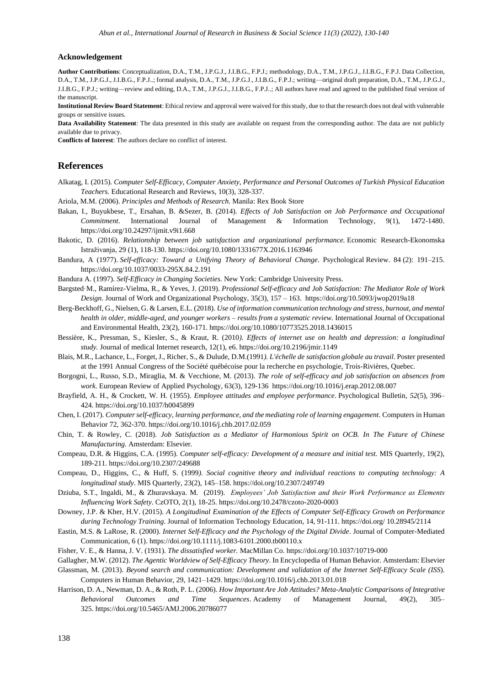### **Acknowledgement**

**Author Contributions**: Conceptualization, D.A., T.M., J.P.G.J., J.I.B.G., F.P.J.; methodology, D.A., T.M., J.P.G.J., J.I.B.G., F.P.J. Data Collection, D.A., T.M., J.P.G.J., J.I.B.G., F.P.J..; formal analysis, D.A., T.M., J.P.G.J., J.I.B.G., F.P.J.; writing—original draft preparation, D.A., T.M., J.P.G.J., J.I.B.G., F.P.J.; writing—review and editing, D.A., T.M., J.P.G.J., J.I.B.G., F.P.J..; All authors have read and agreed to the published final version of the manuscript.

**Institutional Review Board Statement**: Ethical review and approval were waived for this study, due to that the research does not deal with vulnerable groups or sensitive issues.

**Data Availability Statement**: The data presented in this study are available on request from the corresponding author. The data are not publicly available due to privacy.

**Conflicts of Interest**: The authors declare no conflict of interest.

### **References**

- Alkatag, I. (2015). *Computer Self-Efficacy, Computer Anxiety, Performance and Personal Outcomes of Turkish Physical Education Teachers.* Educational Research and Reviews, 10(3), 328-337.
- Ariola, M.M. (2006). *Principles and Methods of Research*. Manila: Rex Book Store
- Bakan, I., [Buyukbese,](https://www.researchgate.net/profile/Tuba-Buyukbese?_sg%5B0%5D=cf6imL4l6JL3qZI8I4brTn1r0EzVGfZq_LGP4isLkkzO8Lfg4TiXg-C2bzsAhZ3yUcUBvlc.l8bwXWZRH3KmjDnZ4WV3HDlK-woILjeAQzRjRLaPxo2Y82dtI9ikNv5IbOAoXBsBtCsH-ukdf-BUroznf4QDtg.q0bGsXMbDchNNL0jmUfMo0_2irQQUxtcFs5NDpFuudKRJsFvHxNl56u1nRab1-WsejGtOxe9aEFjSnwItgK0zQ&_sg%5B1%5D=lCC8wFdy1MEYdYImVzfY9tKwlzJ7TZt5dGv6t1Cu3r-p86DVAJtzhU5-NTp4sAPpdKblgS4.auC5B0VEv_rXiiuliHcOf0gs5yfMmJmeuoVWNeP9OR2s3xV1HhmzacuGc-Z-mC2hOa82GoTHc2w0PCDMCGg3TA) T., Ersahan, B. &Sezer, B. (2014). *Effects of Job Satisfaction on Job Performance and Occupational Commitment*. International Journal of Management & Information Technology, 9(1), 1472-1480. <https://doi.org/10.24297/ijmit.v9i1.668>
- Bakotic, D. (2016). *Relationship between job satisfaction and organizational performance.* Economic Research-Ekonomska Istraživanja, 29 (1), 118-130. https://doi.or[g/10.1080/1331677X.2016.1163946](https://doi.org/10.1080/1331677X.2016.1163946)
- Bandura, A (1977). *[Self-efficacy: Toward a Unifying](https://educational-innovation.sydney.edu.au/news/pdfs/Bandura%201977.pdf) Theory of Behavioral Change*. Psychological Review. 84 (2): 191–215. [https://doi.org/10.1037/0033-295X.84.2.191](https://psycnet.apa.org/doi/10.1037/0033-295X.84.2.191)

Bandura A. (1997). *[Self-Efficacy in Changing Societies.](https://books.google.com/books?id=JbJnOAoLMNEC&printsec=frontcover#v=onepage&q&f=false)* New York: Cambridge University Press.

- Bargsted, M., Ramírez-Vielma, R., & Yeves, J. (2019). *Professional Self-efficacy and Job Satisfaction: The Mediator Role of Work Design*. Journal of Work and Organizational Psychology, 35(3), 157 – 163. [https://doi.org/10.5093/jwop2019a18](https://psycnet.apa.org/doi/10.5093/jwop2019a18)
- Berg-Beckhoff, G., Nielsen, G. & Larsen, E.L. (2018). *Use of information communication technology and stress, burnout, and mental health in older, middle-aged, and younger workers – results from a systematic review.* International Journal of Occupational and Environmental Health, 23(2), 160-171. https://doi.or[g/10.1080/10773525.2018.1436015](https://doi.org/10.1080/10773525.2018.1436015)
- Bessière, K., Pressman, S., Kiesler, S., & Kraut, R. (2010*). Effects of internet use on health and depression: a longitudinal study.* Journal of medical Internet research, 12(1), e6[. https://doi.org/10.2196/jmir.1149](https://doi.org/10.2196/jmir.1149)
- Blais, M.R., Lachance, L., Forget, J., Richer, S., & Dulude, D.M.(1991*). L'échelle de satisfaction globale au travail*. Poster presented at the 1991 Annual Congress of the Société québécoise pour la recherche en psychologie, Trois-Rivières, Quebec.
- Borgogni, L., Russo, S.D., Miraglia, M. & Vecchione, M. (2013). *The role of self-efficacy and job satisfaction on absences from work*. [European Review of Applied Psychology,](https://www.sciencedirect.com/journal/european-review-of-applied-psychology) 63(3), 129-136<https://doi.org/10.1016/j.erap.2012.08.007>
- Brayfield, A. H., & Crockett, W. H. (1955). *Employee attitudes and employee performance*. Psychological Bulletin*, 52*(5), 396– 424. [https://doi.org/10.1037/h0045899](https://psycnet.apa.org/doi/10.1037/h0045899)
- Chen, I. (2017). *Computer self-efficacy, learning performance, and the mediating role of learning engagement*. Computers in Human Behavior 72, 362-370. https://doi.or[g/10.1016/j.chb.2017.02.059](http://dx.doi.org/10.1016/j.chb.2017.02.059)
- Chin, T. & Rowley, C. (2018). *Job Satisfaction as a Mediator of Harmonious Spirit on OCB. In [The Future of Chinese](https://www.sciencedirect.com/book/9780081011089/the-future-of-chinese-manufacturing)  [Manufacturing](https://www.sciencedirect.com/book/9780081011089/the-future-of-chinese-manufacturing)*. Amsterdam: Elsevier.
- Compeau, D.R. & Higgins, C.A. (1995). *Computer self-efficacy: Development of a measure and initial test.* MIS Quarterly, 19(2), 189-211.<https://doi.org/10.2307/249688>
- Compeau, D., Higgins, C., & Huff, S. (1999*). Social cognitive theory and individual reactions to computing technology: A longitudinal study*. MIS Quarterly, 23(2), 145–158[. https://doi.org/10.2307/249749](https://doi.org/10.2307/249749)
- Dziuba, S.T., Ingaldi, M., & Zhuravskaya. M. (2019). *Employees' Job Satisfaction and their Work Performance as Elements Influencing Work Safety*. CzOTO, 2(1), 18-25[. https://doi.org/10.2478/czoto-2020-0003](https://doi.org/10.2478/czoto-2020-0003)
- Downey, J.P. & Kher, H.V. (2015). *A Longitudinal Examination of the Effects of Computer Self-Efficacy Growth on Performance during Technology Training*. Journal of Information Technology Education, 14, 91-111. https://doi.org[/ 10.28945/2114](http://dx.doi.org/10.28945/2114)
- Eastin, M.S. & LaRose, R. (2000). *Internet Self-Efficacy and the Psychology of the Digital Divide*. Journal of Computer-Mediated Communication, 6 (1)[. https://doi.org/10.1111/j.1083-6101.2000.tb00110.x](https://doi.org/10.1111/j.1083-6101.2000.tb00110.x)
- Fisher, V. E., & Hanna, J. V. (1931). *The dissatisfied worker.* MacMillan Co. [https://doi.org/10.1037/10719-000](https://psycnet.apa.org/doi/10.1037/10719-000)
- Gallagher, M.W. (2012). *The Agentic Worldview of Self-Efficacy Theory*. In Encyclopedia of Human Behavior. Amsterdam: Elsevier
- Glassman, M. (2013). *Beyond search and communication: Development and validation of the Internet Self-Efficacy Scale (ISS*). Computers in Human Behavior, 29, 1421–1429.<https://doi.org/10.1016/j.chb.2013.01.018>
- Harrison, D. A., Newman, D. A., & Roth, P. L. (2006). *How Important Are Job Attitudes? Meta-Analytic Comparisons of Integrative Behavioral Outcomes and Time Sequences*. Academy of Management Journal, 49(2), 305– 325. [https://doi.org/10.5465/AMJ.2006.20786077](https://psycnet.apa.org/doi/10.5465/AMJ.2006.20786077)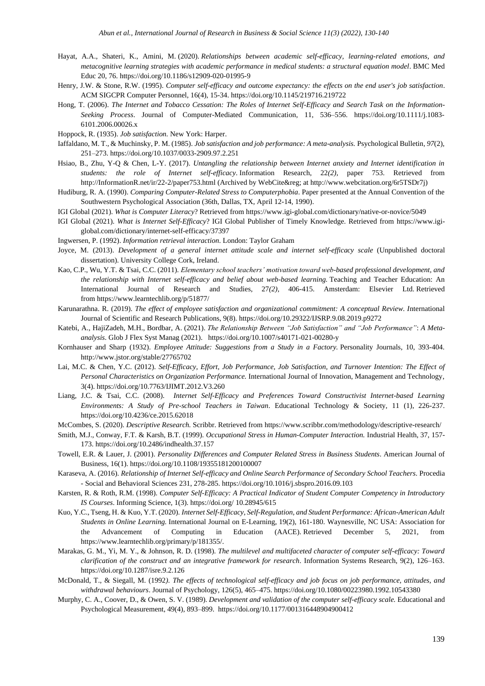- Hayat, A.A., Shateri, K., Amini, M. (2020). *Relationships between academic self-efficacy, learning-related emotions, and metacognitive learning strategies with academic performance in medical students: a structural equation model*. BMC Med Educ 20, 76.<https://doi.org/10.1186/s12909-020-01995-9>
- Henry, J.W. & Stone, R.W. (1995). *Computer self-efficacy and outcome expectancy: the effects on the end user's job satisfaction*. ACM SIGCPR Computer Personnel, 16(4), 15-34[. https://doi.org/10.1145/219716.219722](https://doi.org/10.1145/219716.219722)
- Hong, T. (2006). *The Internet and Tobacco Cessation: The Roles of Internet Self-Efficacy and Search Task on the Information-Seeking Process*. Journal of Computer-Mediated Communication, 11, 536–556. [https://doi.org/10.1111/j.1083-](https://doi.org/10.1111/j.1083-6101.2006.00026.x) [6101.2006.00026.x](https://doi.org/10.1111/j.1083-6101.2006.00026.x)
- Hoppock, R. (1935). *Job satisfaction.* New York: Harper.
- Iaffaldano, M. T., & Muchinsky, P. M. (1985). *Job satisfaction and job performance: A meta-analysis.* Psychological Bulletin*, 97*(2), 251–273. [https://doi.org/10.1037/0033-2909.97.2.251](https://psycnet.apa.org/doi/10.1037/0033-2909.97.2.251)
- Hsiao, B., Zhu, Y-Q & Chen, L-Y. (2017). *Untangling the relationship between Internet anxiety and Internet identification in students: the role of Internet self-efficacy*. Information Research, 22*(2),* paper 753. Retrieved from http://InformationR.net/ir/22-2/paper753.html (Archived by WebCite® at [http://www.webcitation.org/6r5TSDr7j\)](http://www.webcitation.org/6r5TSDr7j)
- Hudiburg, R. A. (1990). *Comparing Computer-Related Stress to Computerphobia*. Paper presented at the Annual Convention of the Southwestern Psychological Association (36th, Dallas, TX, April 12-14, 1990).
- IGI Global (2021). *What is Computer Literacy*? Retrieved from<https://www.igi-global.com/dictionary/native-or-novice/5049>
- IGI Global (2021). *What is Internet Self-Efficacy*? IGI Global Publisher of Timely Knowledge. Retrieved from [https://www.igi](https://www.igi-global.com/dictionary/internet-self-efficacy/37397)[global.com/dictionary/internet-self-efficacy/37397](https://www.igi-global.com/dictionary/internet-self-efficacy/37397)
- Ingwersen, P. (1992). *Information retrieval interaction*. London: Taylor Graham
- Joyce, M. (2013). *Development of a general internet attitude scale and internet self-efficacy scale* (Unpublished doctoral dissertation). University College Cork, Ireland.
- Kao, C.P., Wu, Y.T. & Tsai, C.C. (2011). *Elementary school teachers' motivation toward web-based professional development, and the relationship with Internet self-efficacy and belief about web-based learning.* Teaching and Teacher Education: An International Journal of Research and Studies, 27*(2),* 406-415. Amsterdam: Elsevier Ltd. Retrieved from <https://www.learntechlib.org/p/51877/>
- Karunarathna. R. (2019). *The effect of employee satisfaction and organizational commitment: A conceptual Review. I*nternational Journal of Scientific and Research Publications, 9(8). https://doi.org/10.29322/IJSRP.9.08.2019.p9272
- Katebi, A., HajiZadeh, M.H., Bordbar, A. (2021). *The Relationship Between "Job Satisfaction" and "Job Performance"*: *A Metaanalysis*. Glob J Flex Syst Manag (2021). <https://doi.org/10.1007/s40171-021-00280-y>
- Kornhauser and Sharp (1932). *Employee Attitude: Suggestions from a Study in a Factory.* Personality Journals, 10, 393-404. http://www.jstor.org/stable/27765702
- Lai, M.C. & Chen, Y.C. (2012). *Self-Efficacy, Effort, Job Performance, Job Satisfaction, and Turnover Intention: The Effect of Personal Characteristics on Organization Performance.* International Journal of Innovation, Management and Technology, 3(4). https://doi.org/10.7763/IJIMT.2012.V3.260
- Liang, J.C. & Tsai, C.C. (2008). *Internet Self-Efficacy and Preferences Toward Constructivist Internet-based Learning Environments: A Study of Pre-school Teachers in Taiwan*. Educational Technology & Society, 11 (1), 226-237. https://doi.org/[10.4236/ce.2015.62018](https://doi.org/10.4236/ce.2015.62018)
- McCombes, S. (2020). *Descriptive Research.* Scribbr. Retrieved from https://www.scribbr.com/methodology/descriptive-research/
- Smith, M.J., Conway, F.T. & Karsh, B.T. (1999). *Occupational Stress in Human-Computer Interaction.* Industrial Health, 37, 157- 173. https://doi.or[g/10.2486/indhealth.37.157](https://doi.org/10.2486/indhealth.37.157)
- Towell, E.R. & Lauer, J. (2001). *Personality Differences and Computer Related Stress in Business Students*. American Journal of Business, 16(1).<https://doi.org/10.1108/19355181200100007>
- Karaseva, A. (2016). *Relationship of Internet Self-efficacy and Online Search Performance of Secondary School Teachers*. Procedia - Social and Behavioral Sciences 231, 278-285. https://doi.or[g/10.1016/j.sbspro.2016.09.103](http://dx.doi.org/10.1016/j.sbspro.2016.09.103)
- Karsten, R. & Roth, R.M. (1998). *Computer Self-Efficacy: A Practical Indicator of Student Computer Competency in Introductory IS Courses*. Informing Science, 1(3). https://doi.org[/ 10.28945/615](http://dx.doi.org/10.28945/615)
- Kuo, Y.C., Tseng, H. & Kuo, Y.T. (2020). *Internet Self-Efficacy, Self-Regulation, and Student Performance: African-American Adult Students in Online Learning.* International Journal on E-Learning, 19(2), 161-180. Waynesville, NC USA: Association for the Advancement of Computing in Education (AACE). Retrieved December 5, 2021, from [https://www.learntechlib.org/primary/p/181355/.](https://www.learntechlib.org/primary/p/181355/)
- Marakas, G. M., Yi, M. Y., & Johnson, R. D. (1998). *The multilevel and multifaceted character of computer self-efficacy: Toward clarification of the construct and an integrative framework for research*. Information Systems Research, 9(2), 126–163. <https://doi.org/10.1287/isre.9.2.126>
- McDonald, T., & Siegall, M. (1992*). The effects of technological self-efficacy and job focus on job performance, attitudes, and withdrawal behaviours*. Journal of Psychology, 126(5), 465–475[. https://doi.org/10.1080/00223980.1992.10543380](https://psycnet.apa.org/doi/10.1080/00223980.1992.10543380)
- Murphy, C. A., Coover, D., & Owen, S. V. (1989). *Development and validation of the computer self-efficacy scale.* Educational and Psychological Measurement, 49(4), 893–899. [https://doi.org/10.1177/001316448904900412](https://psycnet.apa.org/doi/10.1177/001316448904900412)